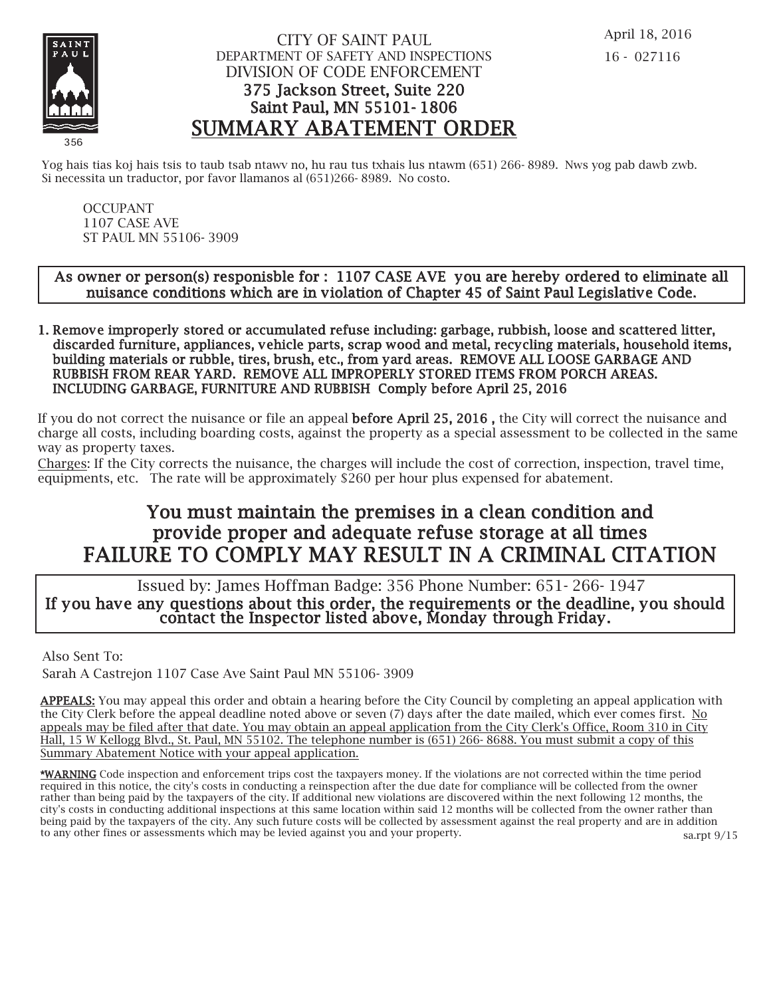

## CITY OF SAINT PAUL DEPARTMENT OF SAFETY AND INSPECTIONS DIVISION OF CODE ENFORCEMENT 375 Jackson Street, Suite 220 Saint Paul, MN 55101- 1806 SUMMARY ABATEMENT ORDER

Yog hais tias koj hais tsis to taub tsab ntawy no, hu rau tus txhais lus ntawm (651) 266-8989. Nws yog pab dawb zwb. Si necessita un traductor, por favor llamanos al (651)266- 8989. No costo.

OCCUPANT 1107 CASE AVE ST PAUL MN 55106- 3909

### As owner or person(s) responisble for : 1107 CASE AVE you are hereby ordered to eliminate all nuisance conditions which are in violation of Chapter 45 of Saint Paul Legislative Code.

1. Remove improperly stored or accumulated refuse including: garbage, rubbish, loose and scattered litter, discarded furniture, appliances, vehicle parts, scrap wood and metal, recycling materials, household items, building materials or rubble, tires, brush, etc., from yard areas. REMOVE ALL LOOSE GARBAGE AND RUBBISH FROM REAR YARD. REMOVE ALL IMPROPERLY STORED ITEMS FROM PORCH AREAS. INCLUDING GARBAGE, FURNITURE AND RUBBISH Comply before April 25, 2016

If you do not correct the nuisance or file an appeal before April 25, 2016 , the City will correct the nuisance and charge all costs, including boarding costs, against the property as a special assessment to be collected in the same way as property taxes.

Charges: If the City corrects the nuisance, the charges will include the cost of correction, inspection, travel time, equipments, etc. The rate will be approximately \$260 per hour plus expensed for abatement.

# You must maintain the premises in a clean condition and prov ide proper and adequate refuse storage at all times FAILURE TO COMPLY MAY RESULT IN A CRIMINAL CITATION

 Issued by: James Hoffman Badge: 356 Phone Number: 651- 266- 1947 If you have any questions about this order, the requirements or the deadline, you should contact the Inspector listed above, Monday through Friday.

Also Sent To:

Sarah A Castrejon 1107 Case Ave Saint Paul MN 55106- 3909

APPEALS: You may appeal this order and obtain a hearing before the City Council by completing an appeal application with the City Clerk before the appeal deadline noted above or seven (7) days after the date mailed, which ever comes first. No appeals may be filed after that date. You may obtain an appeal application from the City Clerk's Office, Room 310 in City Hall, 15 W Kellogg Blvd., St. Paul, MN 55102. The telephone number is (651) 266- 8688. You must submit a copy of this Summary Abatement Notice with your appeal application.

\*WARNING Code inspection and enforcement trips cost the taxpayers money. If the violations are not corrected within the time period required in this notice, the city's costs in conducting a reinspection after the due date for compliance will be collected from the owner rather than being paid by the taxpayers of the city. If additional new violations are discovered within the next following 12 months, the city's costs in conducting additional inspections at this same location within said 12 months will be collected from the owner rather than being paid by the taxpayers of the city. Any such future costs will be collected by assessment against the real property and are in addition to any other fines or assessments which may be levied against you and your property. sa.rpt 9/15